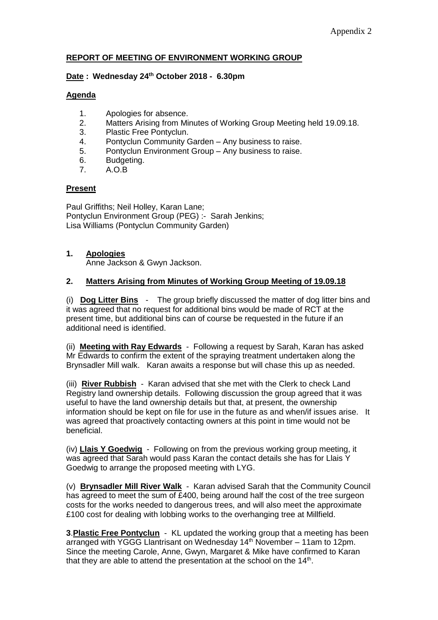## **REPORT OF MEETING OF ENVIRONMENT WORKING GROUP**

#### **Date : Wednesday 24th October 2018 - 6.30pm**

#### **Agenda**

- 1. Apologies for absence.
- 2. Matters Arising from Minutes of Working Group Meeting held 19.09.18.
- 3. Plastic Free Pontyclun.
- 4. Pontyclun Community Garden Any business to raise.
- 5. Pontyclun Environment Group Any business to raise.
- 6. Budgeting.<br>7. A.O.B
- 7. A.O.B

## **Present**

Paul Griffiths; Neil Holley, Karan Lane; Pontyclun Environment Group (PEG) :- Sarah Jenkins; Lisa Williams (Pontyclun Community Garden)

## **1. Apologies**

Anne Jackson & Gwyn Jackson.

## **2. Matters Arising from Minutes of Working Group Meeting of 19.09.18**

(i) **Dog Litter Bins** - The group briefly discussed the matter of dog litter bins and it was agreed that no request for additional bins would be made of RCT at the present time, but additional bins can of course be requested in the future if an additional need is identified.

(ii) **Meeting with Ray Edwards** - Following a request by Sarah, Karan has asked Mr Edwards to confirm the extent of the spraying treatment undertaken along the Brynsadler Mill walk. Karan awaits a response but will chase this up as needed.

(iii) **River Rubbish** - Karan advised that she met with the Clerk to check Land Registry land ownership details. Following discussion the group agreed that it was useful to have the land ownership details but that, at present, the ownership information should be kept on file for use in the future as and when/if issues arise. It was agreed that proactively contacting owners at this point in time would not be beneficial.

(iv) **Llais Y Goedwig** - Following on from the previous working group meeting, it was agreed that Sarah would pass Karan the contact details she has for Llais Y Goedwig to arrange the proposed meeting with LYG.

(v) **Brynsadler Mill River Walk** - Karan advised Sarah that the Community Council has agreed to meet the sum of  $\bar{\mathcal{E}}$ 400, being around half the cost of the tree surgeon costs for the works needed to dangerous trees, and will also meet the approximate £100 cost for dealing with lobbing works to the overhanging tree at Millfield.

**3**.**Plastic Free Pontyclun** - KL updated the working group that a meeting has been arranged with YGGG Llantrisant on Wednesday 14<sup>th</sup> November – 11am to 12pm. Since the meeting Carole, Anne, Gwyn, Margaret & Mike have confirmed to Karan that they are able to attend the presentation at the school on the  $14<sup>th</sup>$ .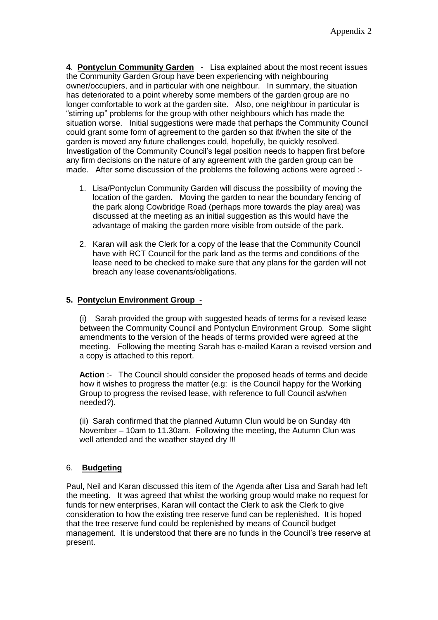**4**. **Pontyclun Community Garden** - Lisa explained about the most recent issues the Community Garden Group have been experiencing with neighbouring owner/occupiers, and in particular with one neighbour. In summary, the situation has deteriorated to a point whereby some members of the garden group are no longer comfortable to work at the garden site. Also, one neighbour in particular is "stirring up" problems for the group with other neighbours which has made the situation worse. Initial suggestions were made that perhaps the Community Council could grant some form of agreement to the garden so that if/when the site of the garden is moved any future challenges could, hopefully, be quickly resolved. Investigation of the Community Council's legal position needs to happen first before any firm decisions on the nature of any agreement with the garden group can be made. After some discussion of the problems the following actions were agreed :-

- 1. Lisa/Pontyclun Community Garden will discuss the possibility of moving the location of the garden. Moving the garden to near the boundary fencing of the park along Cowbridge Road (perhaps more towards the play area) was discussed at the meeting as an initial suggestion as this would have the advantage of making the garden more visible from outside of the park.
- 2. Karan will ask the Clerk for a copy of the lease that the Community Council have with RCT Council for the park land as the terms and conditions of the lease need to be checked to make sure that any plans for the garden will not breach any lease covenants/obligations.

## **5. Pontyclun Environment Group** -

(i) Sarah provided the group with suggested heads of terms for a revised lease between the Community Council and Pontyclun Environment Group. Some slight amendments to the version of the heads of terms provided were agreed at the meeting. Following the meeting Sarah has e-mailed Karan a revised version and a copy is attached to this report.

**Action** :- The Council should consider the proposed heads of terms and decide how it wishes to progress the matter (e.g: is the Council happy for the Working Group to progress the revised lease, with reference to full Council as/when needed?).

(ii) Sarah confirmed that the planned Autumn Clun would be on Sunday 4th November – 10am to 11.30am. Following the meeting, the Autumn Clun was well attended and the weather stayed dry !!!

# 6. **Budgeting**

Paul, Neil and Karan discussed this item of the Agenda after Lisa and Sarah had left the meeting. It was agreed that whilst the working group would make no request for funds for new enterprises, Karan will contact the Clerk to ask the Clerk to give consideration to how the existing tree reserve fund can be replenished. It is hoped that the tree reserve fund could be replenished by means of Council budget management. It is understood that there are no funds in the Council's tree reserve at present.